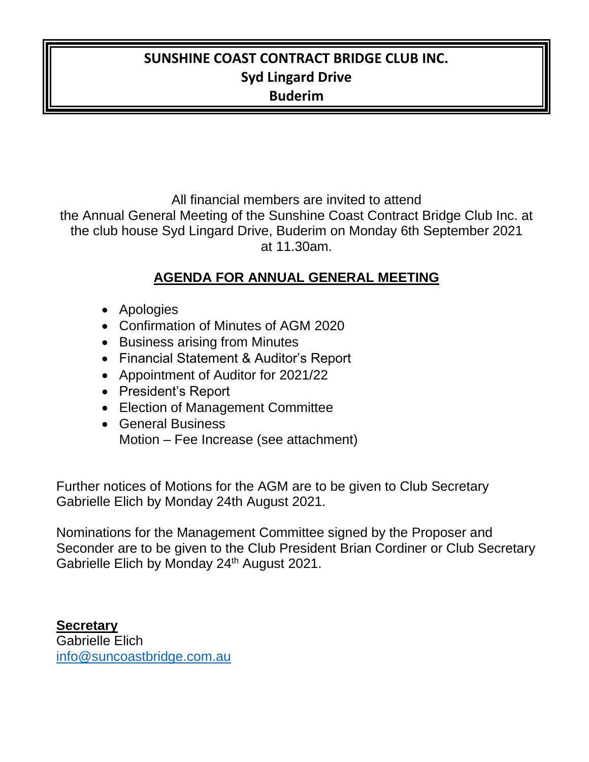### **SUNSHINE COAST CONTRACT BRIDGE CLUB INC. Syd Lingard Drive Buderim**

All financial members are invited to attend the Annual General Meeting of the Sunshine Coast Contract Bridge Club Inc. at the club house Syd Lingard Drive, Buderim on Monday 6th September 2021 at 11.30am.

#### **AGENDA FOR ANNUAL GENERAL MEETING**

- Apologies
- Confirmation of Minutes of AGM 2020
- Business arising from Minutes
- Financial Statement & Auditor's Report
- Appointment of Auditor for 2021/22
- President's Report
- Election of Management Committee
- General Business Motion – Fee Increase (see attachment)

Further notices of Motions for the AGM are to be given to Club Secretary Gabrielle Elich by Monday 24th August 2021.

Nominations for the Management Committee signed by the Proposer and Seconder are to be given to the Club President Brian Cordiner or Club Secretary Gabrielle Elich by Monday 24<sup>th</sup> August 2021.

**Secretary** Gabrielle Elich [info@suncoastbridge.com.au](mailto:info@suncoastbridge.com.au)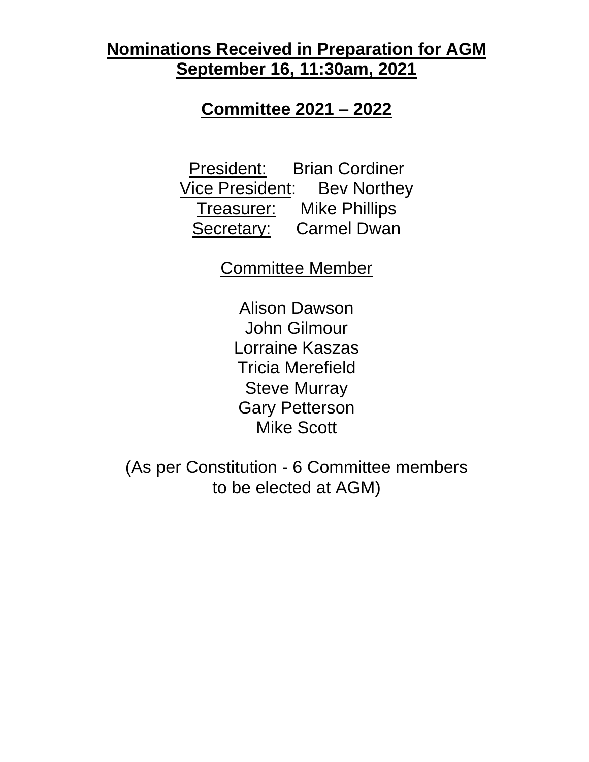# **Nominations Received in Preparation for AGM September 16, 11:30am, 2021**

## **Committee 2021 – 2022**

President: Brian Cordiner **Vice President:** Bev Northey Treasurer: Mike Phillips Secretary: Carmel Dwan

Committee Member

Alison Dawson John Gilmour Lorraine Kaszas Tricia Merefield Steve Murray Gary Petterson Mike Scott

(As per Constitution - 6 Committee members to be elected at AGM)